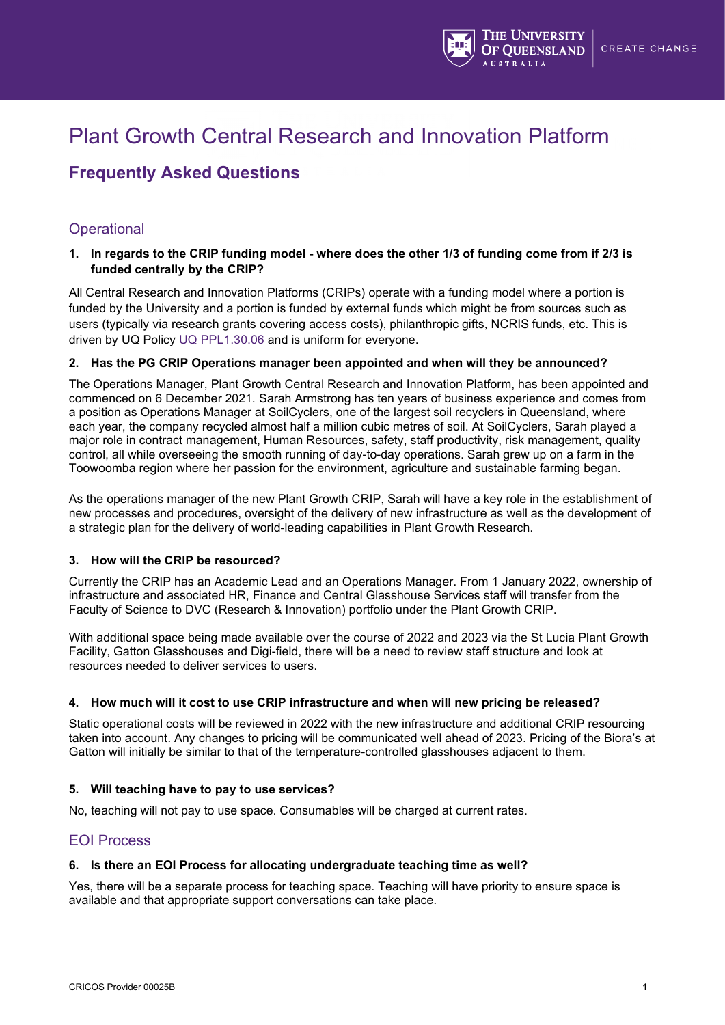

# Plant Growth Central Research and Innovation Platform

## **Frequently Asked Questions**

## **Operational**

**1. In regards to the CRIP funding model - where does the other 1/3 of funding come from if 2/3 is funded centrally by the CRIP?**

All Central Research and Innovation Platforms (CRIPs) operate with a funding model where a portion is funded by the University and a portion is funded by external funds which might be from sources such as users (typically via research grants covering access costs), philanthropic gifts, NCRIS funds, etc. This is driven by UQ Policy [UQ PPL1.30.06](https://ppl.app.uq.edu.au/content/1.30.06-establishment-management-and-closure-institutes-centres-and-research-networks) and is uniform for everyone.

#### **2. Has the PG CRIP Operations manager been appointed and when will they be announced?**

The Operations Manager, Plant Growth Central Research and Innovation Platform, has been appointed and commenced on 6 December 2021. Sarah Armstrong has ten years of business experience and comes from a position as Operations Manager at SoilCyclers, one of the largest soil recyclers in Queensland, where each year, the company recycled almost half a million cubic metres of soil. At SoilCyclers, Sarah played a major role in contract management, Human Resources, safety, staff productivity, risk management, quality control, all while overseeing the smooth running of day-to-day operations. Sarah grew up on a farm in the Toowoomba region where her passion for the environment, agriculture and sustainable farming began.

As the operations manager of the new Plant Growth CRIP, Sarah will have a key role in the establishment of new processes and procedures, oversight of the delivery of new infrastructure as well as the development of a strategic plan for the delivery of world-leading capabilities in Plant Growth Research.

#### **3. How will the CRIP be resourced?**

Currently the CRIP has an Academic Lead and an Operations Manager. From 1 January 2022, ownership of infrastructure and associated HR, Finance and Central Glasshouse Services staff will transfer from the Faculty of Science to DVC (Research & Innovation) portfolio under the Plant Growth CRIP.

With additional space being made available over the course of 2022 and 2023 via the St Lucia Plant Growth Facility, Gatton Glasshouses and Digi-field, there will be a need to review staff structure and look at resources needed to deliver services to users.

#### **4. How much will it cost to use CRIP infrastructure and when will new pricing be released?**

Static operational costs will be reviewed in 2022 with the new infrastructure and additional CRIP resourcing taken into account. Any changes to pricing will be communicated well ahead of 2023. Pricing of the Biora's at Gatton will initially be similar to that of the temperature-controlled glasshouses adjacent to them.

#### **5. Will teaching have to pay to use services?**

No, teaching will not pay to use space. Consumables will be charged at current rates.

## EOI Process

#### **6. Is there an EOI Process for allocating undergraduate teaching time as well?**

Yes, there will be a separate process for teaching space. Teaching will have priority to ensure space is available and that appropriate support conversations can take place.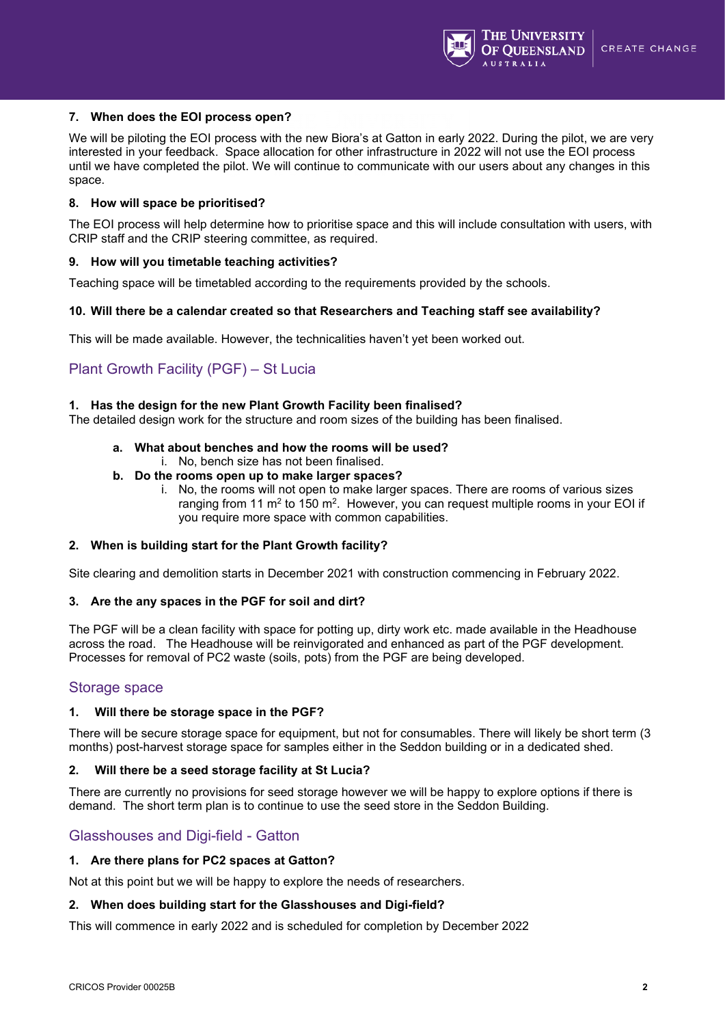

#### **7. When does the EOI process open?**

We will be piloting the EOI process with the new Biora's at Gatton in early 2022. During the pilot, we are very interested in your feedback. Space allocation for other infrastructure in 2022 will not use the EOI process until we have completed the pilot. We will continue to communicate with our users about any changes in this space.

#### **8. How will space be prioritised?**

The EOI process will help determine how to prioritise space and this will include consultation with users, with CRIP staff and the CRIP steering committee, as required.

#### **9. How will you timetable teaching activities?**

Teaching space will be timetabled according to the requirements provided by the schools.

#### **10. Will there be a calendar created so that Researchers and Teaching staff see availability?**

This will be made available. However, the technicalities haven't yet been worked out.

## Plant Growth Facility (PGF) – St Lucia

#### **1. Has the design for the new Plant Growth Facility been finalised?**

The detailed design work for the structure and room sizes of the building has been finalised.

#### **a. What about benches and how the rooms will be used?**

- i. No, bench size has not been finalised.
- **b. Do the rooms open up to make larger spaces?**
	- i. No, the rooms will not open to make larger spaces. There are rooms of various sizes ranging from 11  $m<sup>2</sup>$  to 150 m<sup>2</sup>. However, you can request multiple rooms in your EOI if you require more space with common capabilities.

#### **2. When is building start for the Plant Growth facility?**

Site clearing and demolition starts in December 2021 with construction commencing in February 2022.

#### **3. Are the any spaces in the PGF for soil and dirt?**

The PGF will be a clean facility with space for potting up, dirty work etc. made available in the Headhouse across the road. The Headhouse will be reinvigorated and enhanced as part of the PGF development. Processes for removal of PC2 waste (soils, pots) from the PGF are being developed.

#### Storage space

#### **1. Will there be storage space in the PGF?**

There will be secure storage space for equipment, but not for consumables. There will likely be short term (3 months) post-harvest storage space for samples either in the Seddon building or in a dedicated shed.

#### **2. Will there be a seed storage facility at St Lucia?**

There are currently no provisions for seed storage however we will be happy to explore options if there is demand. The short term plan is to continue to use the seed store in the Seddon Building.

## Glasshouses and Digi-field - Gatton

#### **1. Are there plans for PC2 spaces at Gatton?**

Not at this point but we will be happy to explore the needs of researchers.

#### **2. When does building start for the Glasshouses and Digi-field?**

This will commence in early 2022 and is scheduled for completion by December 2022